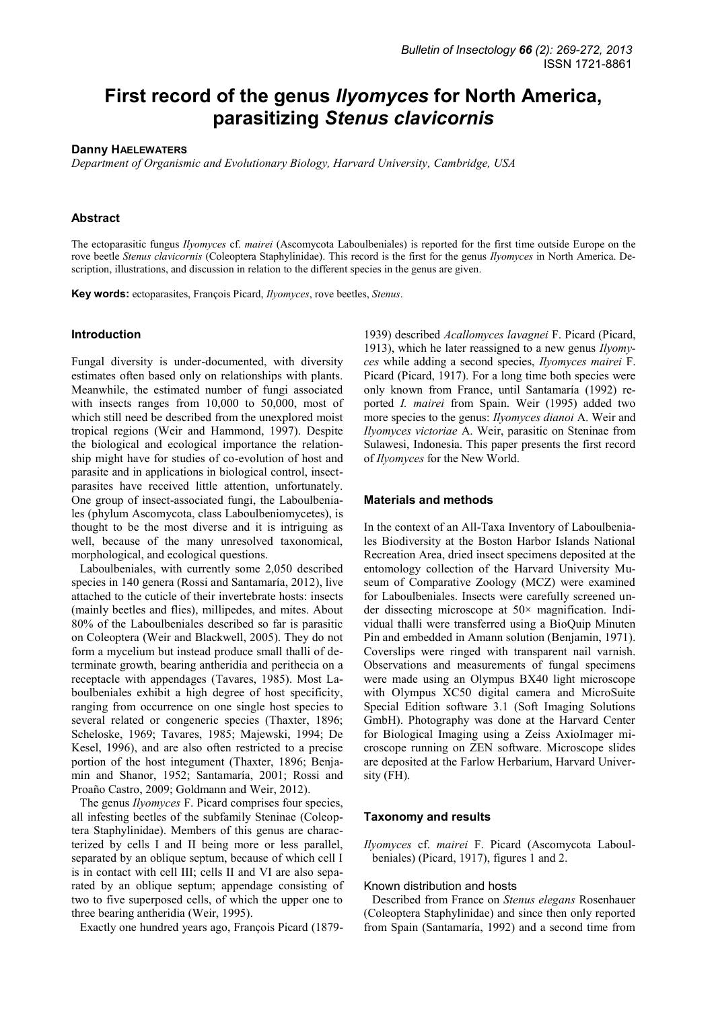# **First record of the genus** *Ilyomyces* **for North America, parasitizing** *Stenus clavicornis*

#### **Danny HAELEWATERS**

*Department of Organismic and Evolutionary Biology, Harvard University, Cambridge, USA* 

## **Abstract**

The ectoparasitic fungus *Ilyomyces* cf. *mairei* (Ascomycota Laboulbeniales) is reported for the first time outside Europe on the rove beetle *Stenus clavicornis* (Coleoptera Staphylinidae). This record is the first for the genus *Ilyomyces* in North America. Description, illustrations, and discussion in relation to the different species in the genus are given.

**Key words:** ectoparasites, François Picard, *Ilyomyces*, rove beetles, *Stenus*.

## **Introduction**

Fungal diversity is under-documented, with diversity estimates often based only on relationships with plants. Meanwhile, the estimated number of fungi associated with insects ranges from 10,000 to 50,000, most of which still need be described from the unexplored moist tropical regions (Weir and Hammond, 1997). Despite the biological and ecological importance the relationship might have for studies of co-evolution of host and parasite and in applications in biological control, insectparasites have received little attention, unfortunately. One group of insect-associated fungi, the Laboulbeniales (phylum Ascomycota, class Laboulbeniomycetes), is thought to be the most diverse and it is intriguing as well, because of the many unresolved taxonomical, morphological, and ecological questions.

Laboulbeniales, with currently some 2,050 described species in 140 genera (Rossi and Santamaría, 2012), live attached to the cuticle of their invertebrate hosts: insects (mainly beetles and flies), millipedes, and mites. About 80% of the Laboulbeniales described so far is parasitic on Coleoptera (Weir and Blackwell, 2005). They do not form a mycelium but instead produce small thalli of determinate growth, bearing antheridia and perithecia on a receptacle with appendages (Tavares, 1985). Most Laboulbeniales exhibit a high degree of host specificity, ranging from occurrence on one single host species to several related or congeneric species (Thaxter, 1896; Scheloske, 1969; Tavares, 1985; Majewski, 1994; De Kesel, 1996), and are also often restricted to a precise portion of the host integument (Thaxter, 1896; Benjamin and Shanor, 1952; Santamaría, 2001; Rossi and Proaño Castro, 2009; Goldmann and Weir, 2012).

The genus *Ilyomyces* F. Picard comprises four species, all infesting beetles of the subfamily Steninae (Coleoptera Staphylinidae). Members of this genus are characterized by cells I and II being more or less parallel, separated by an oblique septum, because of which cell I is in contact with cell III; cells II and VI are also separated by an oblique septum; appendage consisting of two to five superposed cells, of which the upper one to three bearing antheridia (Weir, 1995).

Exactly one hundred years ago, François Picard (1879-

1939) described *Acallomyces lavagnei* F. Picard (Picard, 1913), which he later reassigned to a new genus *Ilyomyces* while adding a second species, *Ilyomyces mairei* F. Picard (Picard, 1917). For a long time both species were only known from France, until Santamaría (1992) reported *I. mairei* from Spain. Weir (1995) added two more species to the genus: *Ilyomyces dianoi* A. Weir and *Ilyomyces victoriae* A. Weir, parasitic on Steninae from Sulawesi, Indonesia. This paper presents the first record of *Ilyomyces* for the New World.

#### **Materials and methods**

In the context of an All-Taxa Inventory of Laboulbeniales Biodiversity at the Boston Harbor Islands National Recreation Area, dried insect specimens deposited at the entomology collection of the Harvard University Museum of Comparative Zoology (MCZ) were examined for Laboulbeniales. Insects were carefully screened under dissecting microscope at  $50\times$  magnification. Individual thalli were transferred using a BioQuip Minuten Pin and embedded in Amann solution (Benjamin, 1971). Coverslips were ringed with transparent nail varnish. Observations and measurements of fungal specimens were made using an Olympus BX40 light microscope with Olympus XC50 digital camera and MicroSuite Special Edition software 3.1 (Soft Imaging Solutions GmbH). Photography was done at the Harvard Center for Biological Imaging using a Zeiss AxioImager microscope running on ZEN software. Microscope slides are deposited at the Farlow Herbarium, Harvard University (FH).

#### **Taxonomy and results**

*Ilyomyces* cf. *mairei* F. Picard (Ascomycota Laboulbeniales) (Picard, 1917), figures 1 and 2.

### Known distribution and hosts

Described from France on *Stenus elegans* Rosenhauer (Coleoptera Staphylinidae) and since then only reported from Spain (Santamaría, 1992) and a second time from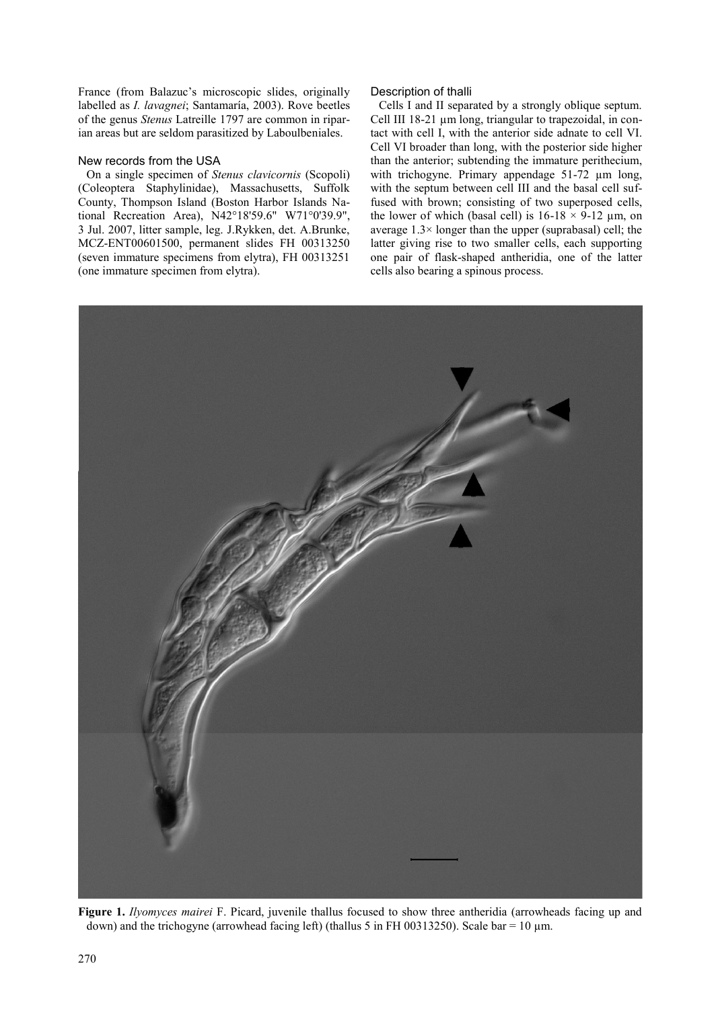France (from Balazuc's microscopic slides, originally labelled as *I. lavagnei*; Santamaría, 2003). Rove beetles of the genus *Stenus* Latreille 1797 are common in riparian areas but are seldom parasitized by Laboulbeniales.

## New records from the USA

On a single specimen of *Stenus clavicornis* (Scopoli) (Coleoptera Staphylinidae), Massachusetts, Suffolk County, Thompson Island (Boston Harbor Islands National Recreation Area), N42°18'59.6" W71°0'39.9", 3 Jul. 2007, litter sample, leg. J.Rykken, det. A.Brunke, MCZ-ENT00601500, permanent slides FH 00313250 (seven immature specimens from elytra), FH 00313251 (one immature specimen from elytra).

## Description of thalli

Cells I and II separated by a strongly oblique septum. Cell III 18-21 µm long, triangular to trapezoidal, in contact with cell I, with the anterior side adnate to cell VI. Cell VI broader than long, with the posterior side higher than the anterior; subtending the immature perithecium, with trichogyne. Primary appendage 51-72  $\mu$ m long, with the septum between cell III and the basal cell suffused with brown; consisting of two superposed cells, the lower of which (basal cell) is  $16-18 \times 9-12 \mu m$ , on average 1.3× longer than the upper (suprabasal) cell; the latter giving rise to two smaller cells, each supporting one pair of flask-shaped antheridia, one of the latter cells also bearing a spinous process.



**Figure 1.** *Ilyomyces mairei* F. Picard, juvenile thallus focused to show three antheridia (arrowheads facing up and down) and the trichogyne (arrowhead facing left) (thallus 5 in FH 00313250). Scale bar = 10  $\mu$ m.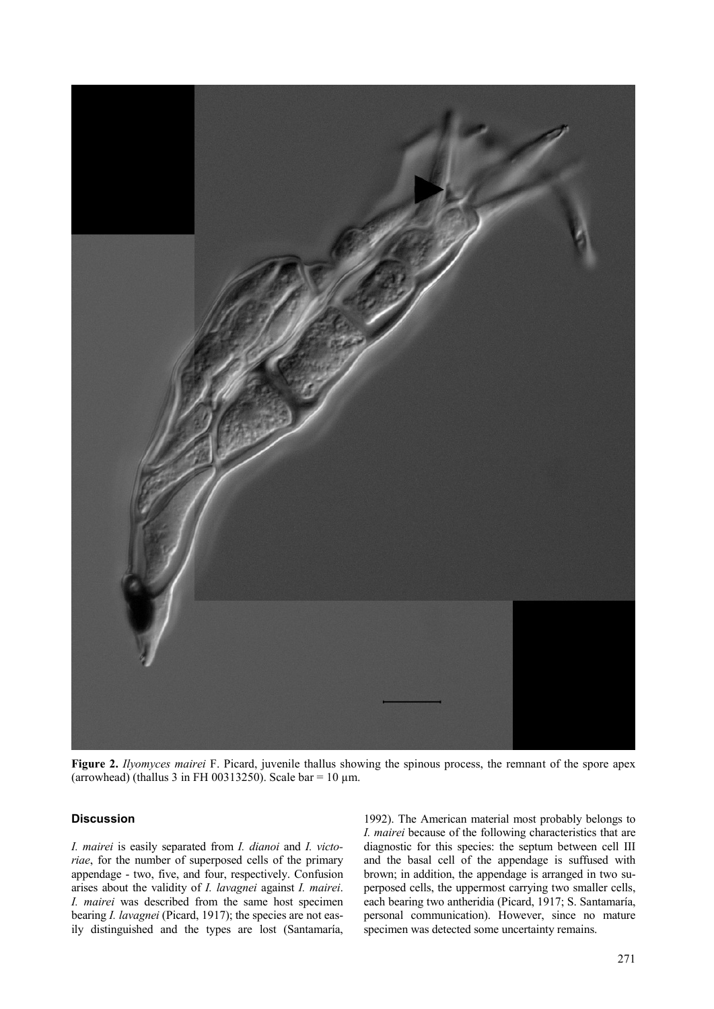

**Figure 2.** *Ilyomyces mairei* F. Picard, juvenile thallus showing the spinous process, the remnant of the spore apex (arrowhead) (thallus 3 in FH 00313250). Scale bar = 10  $\mu$ m.

# **Discussion**

*I. mairei* is easily separated from *I. dianoi* and *I. victoriae*, for the number of superposed cells of the primary appendage - two, five, and four, respectively. Confusion arises about the validity of *I. lavagnei* against *I. mairei*. *I. mairei* was described from the same host specimen bearing *I. lavagnei* (Picard, 1917); the species are not easily distinguished and the types are lost (Santamaría,

1992). The American material most probably belongs to *I. mairei* because of the following characteristics that are diagnostic for this species: the septum between cell III and the basal cell of the appendage is suffused with brown; in addition, the appendage is arranged in two superposed cells, the uppermost carrying two smaller cells, each bearing two antheridia (Picard, 1917; S. Santamaría, personal communication). However, since no mature specimen was detected some uncertainty remains.